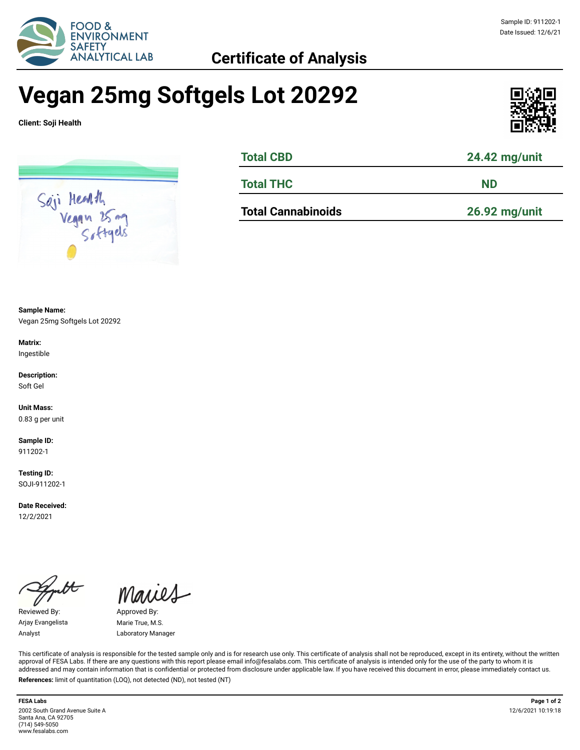

### Sample ID: 911202-1 Date Issued: 12/6/21

# **Vegan 25mg Softgels Lot 20292**

**Client: Soji Health**



| <b>Total CBD</b>          | 24.42 mg/unit |  |  |
|---------------------------|---------------|--|--|
| <b>Total THC</b>          | <b>ND</b>     |  |  |
| <b>Total Cannabinoids</b> | 26.92 mg/unit |  |  |

**Sample Name:** 

Vegan 25mg Softgels Lot 20292

**Matrix:** Ingestible

**Description:** Soft Gel

**Unit Mass:**  0.83 g per unit

**Sample ID:**  911202-1

**Testing ID:**  SOJI-911202-1

**Date Received:**  12/2/2021

Reviewed By: Approved By: Arjay Evangelista Marie True, M.S.

Maries

Analyst Laboratory Manager

This certificate of analysis is responsible for the tested sample only and is for research use only. This certificate of analysis shall not be reproduced, except in its entirety, without the written approval of FESA Labs. If there are any questions with this report please email info@fesalabs.com. This certificate of analysis is intended only for the use of the party to whom it is addressed and may contain information that is confidential or protected from disclosure under applicable law. If you have received this document in error, please immediately contact us. **References:** limit of quantitation (LOQ), not detected (ND), not tested (NT)

**FESA Labs Page 1 of 2** 2002 South Grand Avenue Suite A Santa Ana, CA 92705 (714) 549-5050 www.fesalabs.com